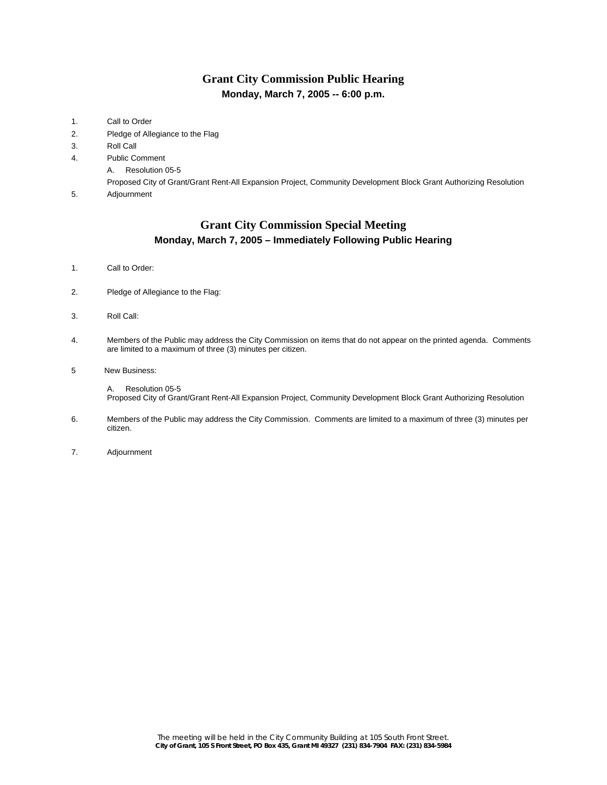## **Grant City Commission Public Hearing Monday, March 7, 2005 -- 6:00 p.m.**

| Call to Order                                                                                                     |
|-------------------------------------------------------------------------------------------------------------------|
| Pledge of Allegiance to the Flag                                                                                  |
| Roll Call                                                                                                         |
| <b>Public Comment</b>                                                                                             |
| Resolution 05-5<br>А.                                                                                             |
| Proposed City of Grant/Grant Rent-All Expansion Project, Community Development Block Grant Authorizing Resolution |
| Adjournment                                                                                                       |
|                                                                                                                   |

### **Grant City Commission Special Meeting Monday, March 7, 2005 – Immediately Following Public Hearing**

- 1. Call to Order:
- 2. Pledge of Allegiance to the Flag:
- 3. Roll Call:
- 4. Members of the Public may address the City Commission on items that do not appear on the printed agenda. Comments are limited to a maximum of three (3) minutes per citizen.
- 5 New Business:

 A. Resolution 05-5 Proposed City of Grant/Grant Rent-All Expansion Project, Community Development Block Grant Authorizing Resolution

- 6. Members of the Public may address the City Commission. Comments are limited to a maximum of three (3) minutes per citizen.
- 7. Adjournment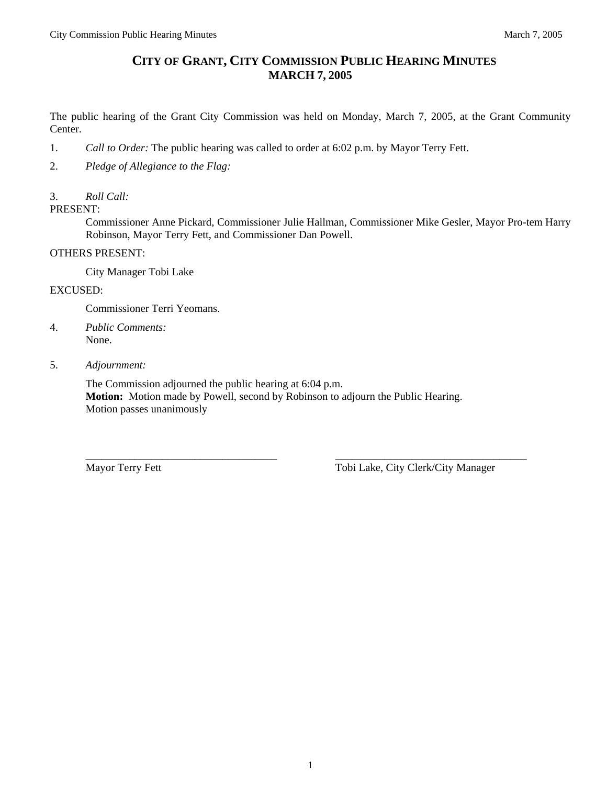# **CITY OF GRANT, CITY COMMISSION PUBLIC HEARING MINUTES MARCH 7, 2005**

The public hearing of the Grant City Commission was held on Monday, March 7, 2005, at the Grant Community Center.

- 1. *Call to Order:* The public hearing was called to order at 6:02 p.m. by Mayor Terry Fett.
- 2. *Pledge of Allegiance to the Flag:*

#### 3. *Roll Call:*

PRESENT:

Commissioner Anne Pickard, Commissioner Julie Hallman, Commissioner Mike Gesler, Mayor Pro-tem Harry Robinson, Mayor Terry Fett, and Commissioner Dan Powell.

#### OTHERS PRESENT:

City Manager Tobi Lake

EXCUSED:

Commissioner Terri Yeomans.

- 4. *Public Comments:*  None.
- 5. *Adjournment:*

The Commission adjourned the public hearing at 6:04 p.m. **Motion:** Motion made by Powell, second by Robinson to adjourn the Public Hearing. Motion passes unanimously

\_\_\_\_\_\_\_\_\_\_\_\_\_\_\_\_\_\_\_\_\_\_\_\_\_\_\_\_\_\_\_\_\_\_\_ \_\_\_\_\_\_\_\_\_\_\_\_\_\_\_\_\_\_\_\_\_\_\_\_\_\_\_\_\_\_\_\_\_\_\_

Mayor Terry Fett Tobi Lake, City Clerk/City Manager